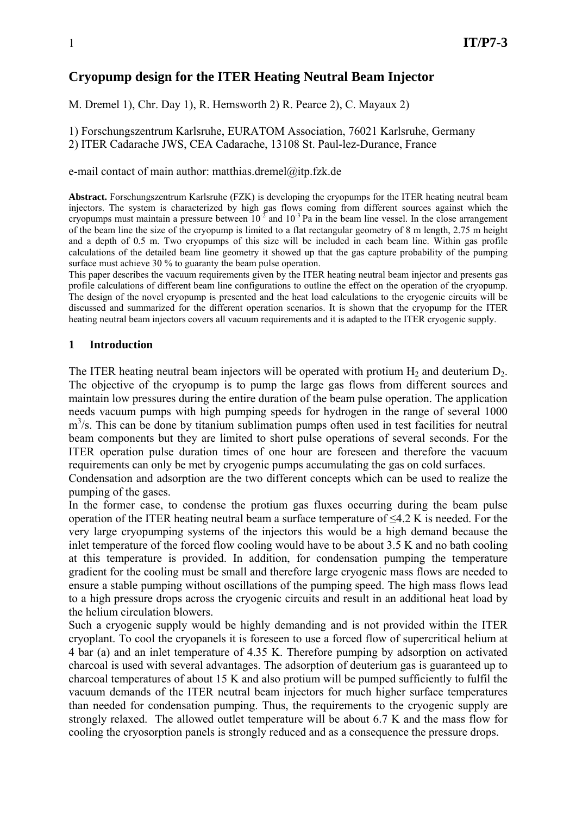# **Cryopump design for the ITER Heating Neutral Beam Injector**

M. Dremel 1), Chr. Day 1), R. Hemsworth 2) R. Pearce 2), C. Mayaux 2)

1) Forschungszentrum Karlsruhe, EURATOM Association, 76021 Karlsruhe, Germany 2) ITER Cadarache JWS, CEA Cadarache, 13108 St. Paul-lez-Durance, France

e-mail contact of main author: matthias.dremel@itp.fzk.de

**Abstract.** Forschungszentrum Karlsruhe (FZK) is developing the cryopumps for the ITER heating neutral beam injectors. The system is characterized by high gas flows coming from different sources against which the cryopumps must maintain a pressure between  $10^{-2}$  and  $10^{-3}$  Pa in the beam line vessel. In the close arrangement of the beam line the size of the cryopump is limited to a flat rectangular geometry of 8 m length, 2.75 m height and a depth of 0.5 m. Two cryopumps of this size will be included in each beam line. Within gas profile calculations of the detailed beam line geometry it showed up that the gas capture probability of the pumping surface must achieve 30 % to guaranty the beam pulse operation.

This paper describes the vacuum requirements given by the ITER heating neutral beam injector and presents gas profile calculations of different beam line configurations to outline the effect on the operation of the cryopump. The design of the novel cryopump is presented and the heat load calculations to the cryogenic circuits will be discussed and summarized for the different operation scenarios. It is shown that the cryopump for the ITER heating neutral beam injectors covers all vacuum requirements and it is adapted to the ITER cryogenic supply.

#### **1 Introduction**

The ITER heating neutral beam injectors will be operated with protium  $H_2$  and deuterium  $D_2$ . The objective of the cryopump is to pump the large gas flows from different sources and maintain low pressures during the entire duration of the beam pulse operation. The application needs vacuum pumps with high pumping speeds for hydrogen in the range of several 1000 m<sup>3</sup>/s. This can be done by titanium sublimation pumps often used in test facilities for neutral beam components but they are limited to short pulse operations of several seconds. For the ITER operation pulse duration times of one hour are foreseen and therefore the vacuum requirements can only be met by cryogenic pumps accumulating the gas on cold surfaces.

Condensation and adsorption are the two different concepts which can be used to realize the pumping of the gases.

In the former case, to condense the protium gas fluxes occurring during the beam pulse operation of the ITER heating neutral beam a surface temperature of ≤4.2 K is needed. For the very large cryopumping systems of the injectors this would be a high demand because the inlet temperature of the forced flow cooling would have to be about 3.5 K and no bath cooling at this temperature is provided. In addition, for condensation pumping the temperature gradient for the cooling must be small and therefore large cryogenic mass flows are needed to ensure a stable pumping without oscillations of the pumping speed. The high mass flows lead to a high pressure drops across the cryogenic circuits and result in an additional heat load by the helium circulation blowers.

Such a cryogenic supply would be highly demanding and is not provided within the ITER cryoplant. To cool the cryopanels it is foreseen to use a forced flow of supercritical helium at 4 bar (a) and an inlet temperature of 4.35 K. Therefore pumping by adsorption on activated charcoal is used with several advantages. The adsorption of deuterium gas is guaranteed up to charcoal temperatures of about 15 K and also protium will be pumped sufficiently to fulfil the vacuum demands of the ITER neutral beam injectors for much higher surface temperatures than needed for condensation pumping. Thus, the requirements to the cryogenic supply are strongly relaxed. The allowed outlet temperature will be about 6.7 K and the mass flow for cooling the cryosorption panels is strongly reduced and as a consequence the pressure drops.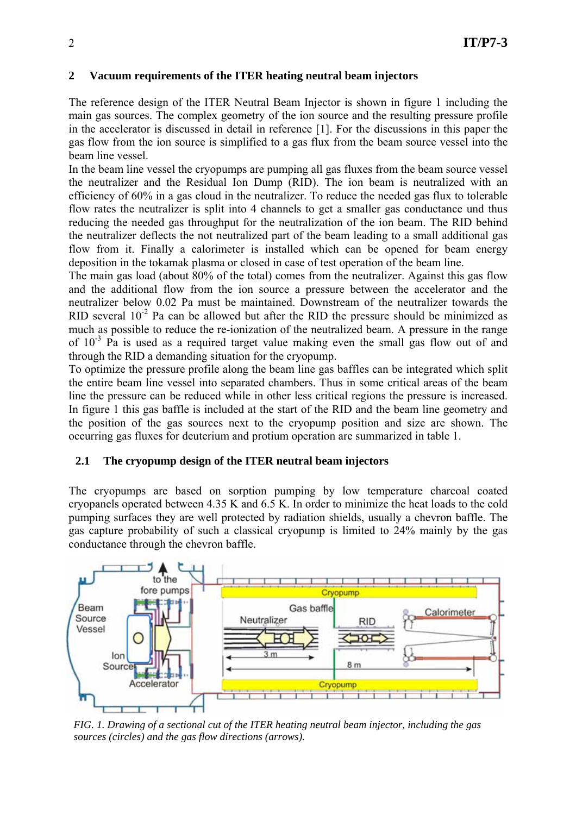## **2 Vacuum requirements of the ITER heating neutral beam injectors**

The reference design of the ITER Neutral Beam Injector is shown in figure 1 including the main gas sources. The complex geometry of the ion source and the resulting pressure profile in the accelerator is discussed in detail in reference [1]. For the discussions in this paper the gas flow from the ion source is simplified to a gas flux from the beam source vessel into the beam line vessel.

In the beam line vessel the cryopumps are pumping all gas fluxes from the beam source vessel the neutralizer and the Residual Ion Dump (RID). The ion beam is neutralized with an efficiency of 60% in a gas cloud in the neutralizer. To reduce the needed gas flux to tolerable flow rates the neutralizer is split into 4 channels to get a smaller gas conductance und thus reducing the needed gas throughput for the neutralization of the ion beam. The RID behind the neutralizer deflects the not neutralized part of the beam leading to a small additional gas flow from it. Finally a calorimeter is installed which can be opened for beam energy deposition in the tokamak plasma or closed in case of test operation of the beam line.

The main gas load (about 80% of the total) comes from the neutralizer. Against this gas flow and the additional flow from the ion source a pressure between the accelerator and the neutralizer below 0.02 Pa must be maintained. Downstream of the neutralizer towards the RID several  $10^{-2}$  Pa can be allowed but after the RID the pressure should be minimized as much as possible to reduce the re-ionization of the neutralized beam. A pressure in the range of  $10^{-3}$  Pa is used as a required target value making even the small gas flow out of and through the RID a demanding situation for the cryopump.

To optimize the pressure profile along the beam line gas baffles can be integrated which split the entire beam line vessel into separated chambers. Thus in some critical areas of the beam line the pressure can be reduced while in other less critical regions the pressure is increased. In figure 1 this gas baffle is included at the start of the RID and the beam line geometry and the position of the gas sources next to the cryopump position and size are shown. The occurring gas fluxes for deuterium and protium operation are summarized in table 1.

### **2.1 The cryopump design of the ITER neutral beam injectors**

The cryopumps are based on sorption pumping by low temperature charcoal coated cryopanels operated between 4.35 K and 6.5 K. In order to minimize the heat loads to the cold pumping surfaces they are well protected by radiation shields, usually a chevron baffle. The gas capture probability of such a classical cryopump is limited to 24% mainly by the gas conductance through the chevron baffle.



*FIG. 1. Drawing of a sectional cut of the ITER heating neutral beam injector, including the gas sources (circles) and the gas flow directions (arrows).*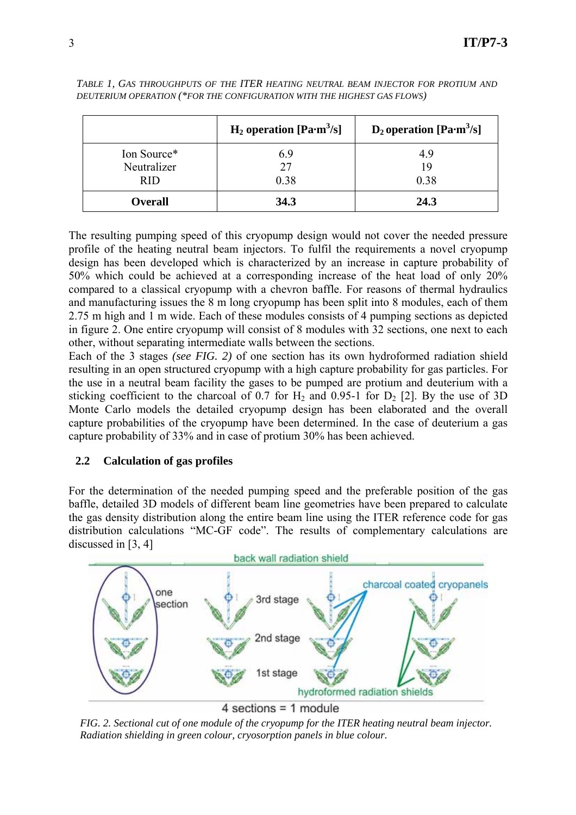|                                          | $H_2$ operation [Pa·m <sup>3</sup> /s] | $D_2$ operation [Pa·m <sup>3</sup> /s] |
|------------------------------------------|----------------------------------------|----------------------------------------|
| Ion Source*<br>Neutralizer<br><b>RID</b> | 6.9<br>27<br>0.38                      | 4.9<br>19<br>0.38                      |
| <b>Overall</b>                           | 34.3                                   | 24.3                                   |

*TABLE 1, GAS THROUGHPUTS OF THE ITER HEATING NEUTRAL BEAM INJECTOR FOR PROTIUM AND DEUTERIUM OPERATION (\*FOR THE CONFIGURATION WITH THE HIGHEST GAS FLOWS)*

The resulting pumping speed of this cryopump design would not cover the needed pressure profile of the heating neutral beam injectors. To fulfil the requirements a novel cryopump design has been developed which is characterized by an increase in capture probability of 50% which could be achieved at a corresponding increase of the heat load of only 20% compared to a classical cryopump with a chevron baffle. For reasons of thermal hydraulics and manufacturing issues the 8 m long cryopump has been split into 8 modules, each of them 2.75 m high and 1 m wide. Each of these modules consists of 4 pumping sections as depicted in figure 2. One entire cryopump will consist of 8 modules with 32 sections, one next to each other, without separating intermediate walls between the sections.

Each of the 3 stages *(see FIG. 2)* of one section has its own hydroformed radiation shield resulting in an open structured cryopump with a high capture probability for gas particles. For the use in a neutral beam facility the gases to be pumped are protium and deuterium with a sticking coefficient to the charcoal of 0.7 for  $H_2$  and 0.95-1 for  $D_2$  [2]. By the use of 3D Monte Carlo models the detailed cryopump design has been elaborated and the overall capture probabilities of the cryopump have been determined. In the case of deuterium a gas capture probability of 33% and in case of protium 30% has been achieved.

### **2.2 Calculation of gas profiles**

For the determination of the needed pumping speed and the preferable position of the gas baffle, detailed 3D models of different beam line geometries have been prepared to calculate the gas density distribution along the entire beam line using the ITER reference code for gas distribution calculations "MC-GF code". The results of complementary calculations are discussed in [3, 4]



4 sections = 1 module

*FIG. 2. Sectional cut of one module of the cryopump for the ITER heating neutral beam injector. Radiation shielding in green colour, cryosorption panels in blue colour.*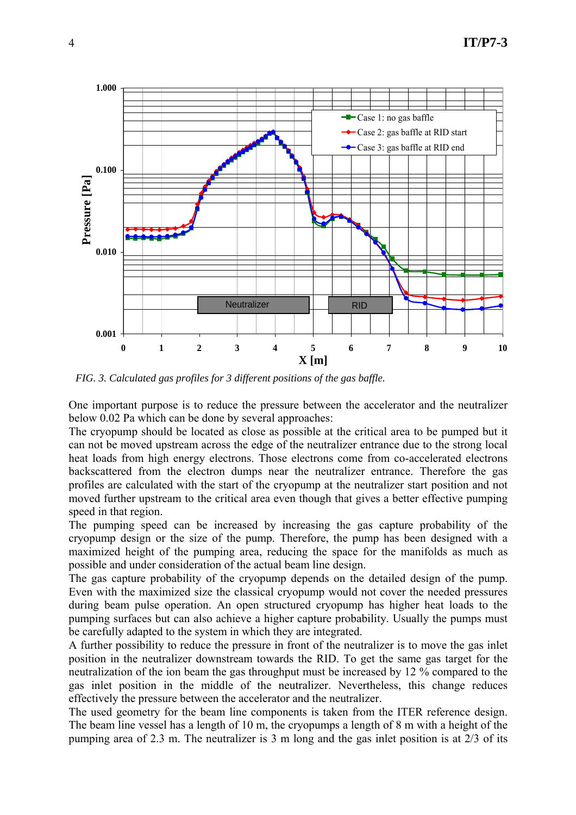

*FIG. 3. Calculated gas profiles for 3 different positions of the gas baffle.*

One important purpose is to reduce the pressure between the accelerator and the neutralizer below 0.02 Pa which can be done by several approaches:

The cryopump should be located as close as possible at the critical area to be pumped but it can not be moved upstream across the edge of the neutralizer entrance due to the strong local heat loads from high energy electrons. Those electrons come from co-accelerated electrons backscattered from the electron dumps near the neutralizer entrance. Therefore the gas profiles are calculated with the start of the cryopump at the neutralizer start position and not moved further upstream to the critical area even though that gives a better effective pumping speed in that region.

The pumping speed can be increased by increasing the gas capture probability of the cryopump design or the size of the pump. Therefore, the pump has been designed with a maximized height of the pumping area, reducing the space for the manifolds as much as possible and under consideration of the actual beam line design.

The gas capture probability of the cryopump depends on the detailed design of the pump. Even with the maximized size the classical cryopump would not cover the needed pressures during beam pulse operation. An open structured cryopump has higher heat loads to the pumping surfaces but can also achieve a higher capture probability. Usually the pumps must be carefully adapted to the system in which they are integrated.

A further possibility to reduce the pressure in front of the neutralizer is to move the gas inlet position in the neutralizer downstream towards the RID. To get the same gas target for the neutralization of the ion beam the gas throughput must be increased by 12 % compared to the gas inlet position in the middle of the neutralizer. Nevertheless, this change reduces effectively the pressure between the accelerator and the neutralizer.

The used geometry for the beam line components is taken from the ITER reference design. The beam line vessel has a length of 10 m, the cryopumps a length of 8 m with a height of the pumping area of 2.3 m. The neutralizer is 3 m long and the gas inlet position is at 2/3 of its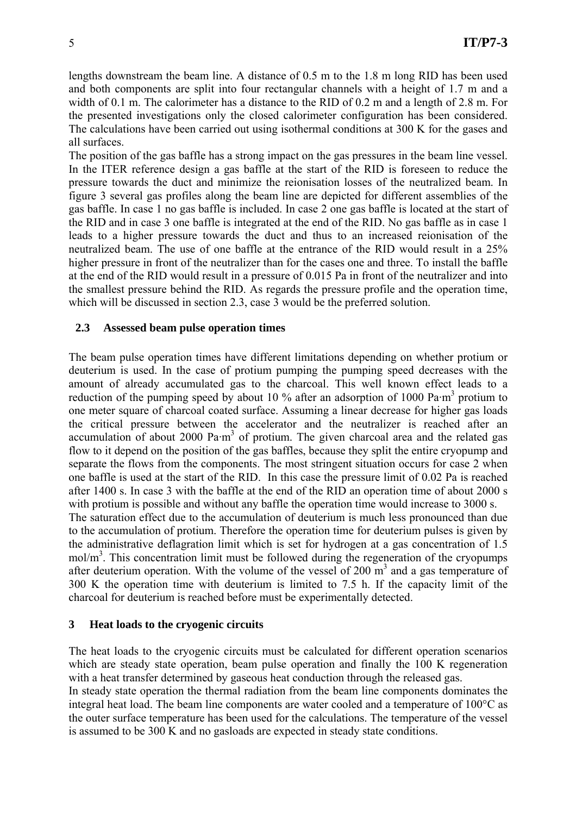lengths downstream the beam line. A distance of 0.5 m to the 1.8 m long RID has been used and both components are split into four rectangular channels with a height of 1.7 m and a width of 0.1 m. The calorimeter has a distance to the RID of 0.2 m and a length of 2.8 m. For the presented investigations only the closed calorimeter configuration has been considered. The calculations have been carried out using isothermal conditions at 300 K for the gases and all surfaces.

The position of the gas baffle has a strong impact on the gas pressures in the beam line vessel. In the ITER reference design a gas baffle at the start of the RID is foreseen to reduce the pressure towards the duct and minimize the reionisation losses of the neutralized beam. In figure 3 several gas profiles along the beam line are depicted for different assemblies of the gas baffle. In case 1 no gas baffle is included. In case 2 one gas baffle is located at the start of the RID and in case 3 one baffle is integrated at the end of the RID. No gas baffle as in case 1 leads to a higher pressure towards the duct and thus to an increased reionisation of the neutralized beam. The use of one baffle at the entrance of the RID would result in a 25% higher pressure in front of the neutralizer than for the cases one and three. To install the baffle at the end of the RID would result in a pressure of 0.015 Pa in front of the neutralizer and into the smallest pressure behind the RID. As regards the pressure profile and the operation time, which will be discussed in section 2.3, case 3 would be the preferred solution.

### **2.3 Assessed beam pulse operation times**

The beam pulse operation times have different limitations depending on whether protium or deuterium is used. In the case of protium pumping the pumping speed decreases with the amount of already accumulated gas to the charcoal. This well known effect leads to a reduction of the pumping speed by about 10 % after an adsorption of 1000 Pa·m<sup>3</sup> protium to one meter square of charcoal coated surface. Assuming a linear decrease for higher gas loads the critical pressure between the accelerator and the neutralizer is reached after an accumulation of about 2000  $\text{Pa}\cdot\text{m}^3$  of protium. The given charcoal area and the related gas flow to it depend on the position of the gas baffles, because they split the entire cryopump and separate the flows from the components. The most stringent situation occurs for case 2 when one baffle is used at the start of the RID. In this case the pressure limit of 0.02 Pa is reached after 1400 s. In case 3 with the baffle at the end of the RID an operation time of about 2000 s with protium is possible and without any baffle the operation time would increase to 3000 s. The saturation effect due to the accumulation of deuterium is much less pronounced than due to the accumulation of protium. Therefore the operation time for deuterium pulses is given by the administrative deflagration limit which is set for hydrogen at a gas concentration of 1.5 mol/m<sup>3</sup>. This concentration limit must be followed during the regeneration of the cryopumps after deuterium operation. With the volume of the vessel of 200  $\text{m}^3$  and a gas temperature of 300 K the operation time with deuterium is limited to 7.5 h. If the capacity limit of the charcoal for deuterium is reached before must be experimentally detected.

#### **3 Heat loads to the cryogenic circuits**

The heat loads to the cryogenic circuits must be calculated for different operation scenarios which are steady state operation, beam pulse operation and finally the 100 K regeneration with a heat transfer determined by gaseous heat conduction through the released gas.

In steady state operation the thermal radiation from the beam line components dominates the integral heat load. The beam line components are water cooled and a temperature of 100°C as the outer surface temperature has been used for the calculations. The temperature of the vessel is assumed to be 300 K and no gasloads are expected in steady state conditions.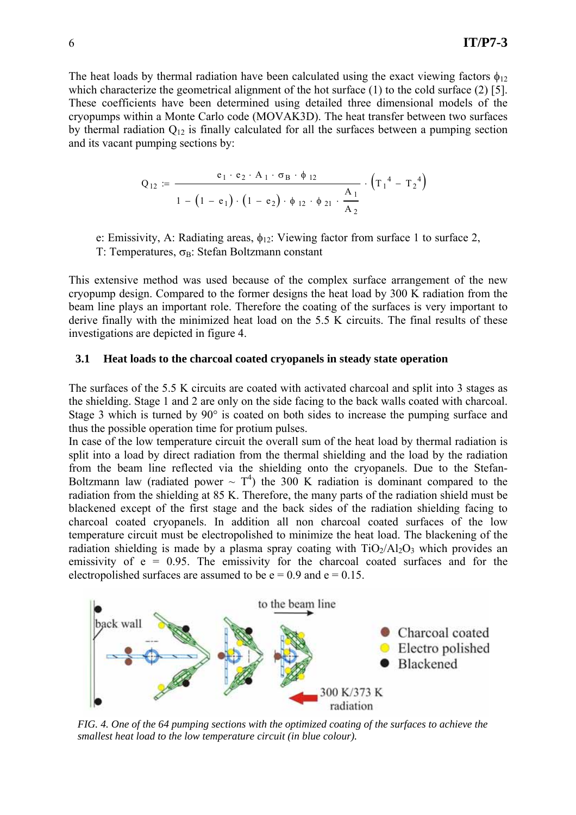The heat loads by thermal radiation have been calculated using the exact viewing factors  $\phi_{12}$ which characterize the geometrical alignment of the hot surface (1) to the cold surface (2) [5]. These coefficients have been determined using detailed three dimensional models of the cryopumps within a Monte Carlo code (MOVAK3D). The heat transfer between two surfaces by thermal radiation  $Q_{12}$  is finally calculated for all the surfaces between a pumping section and its vacant pumping sections by:

$$
Q_{12} := \frac{e_1 \cdot e_2 \cdot A_1 \cdot \sigma_B \cdot \phi_{12}}{1 - (1 - e_1) \cdot (1 - e_2) \cdot \phi_{12} \cdot \phi_{21} \cdot \frac{A_1}{A_2}} \cdot (T_1^4 - T_2^4)
$$

e: Emissivity, A: Radiating areas,  $\phi_{12}$ : Viewing factor from surface 1 to surface 2,

T: Temperatures,  $\sigma_B$ : Stefan Boltzmann constant

This extensive method was used because of the complex surface arrangement of the new cryopump design. Compared to the former designs the heat load by 300 K radiation from the beam line plays an important role. Therefore the coating of the surfaces is very important to derive finally with the minimized heat load on the 5.5 K circuits. The final results of these investigations are depicted in figure 4.

#### **3.1 Heat loads to the charcoal coated cryopanels in steady state operation**

The surfaces of the 5.5 K circuits are coated with activated charcoal and split into 3 stages as the shielding. Stage 1 and 2 are only on the side facing to the back walls coated with charcoal. Stage 3 which is turned by 90° is coated on both sides to increase the pumping surface and thus the possible operation time for protium pulses.

In case of the low temperature circuit the overall sum of the heat load by thermal radiation is split into a load by direct radiation from the thermal shielding and the load by the radiation from the beam line reflected via the shielding onto the cryopanels. Due to the Stefan-Boltzmann law (radiated power  $\sim T^4$ ) the 300 K radiation is dominant compared to the radiation from the shielding at 85 K. Therefore, the many parts of the radiation shield must be blackened except of the first stage and the back sides of the radiation shielding facing to charcoal coated cryopanels. In addition all non charcoal coated surfaces of the low temperature circuit must be electropolished to minimize the heat load. The blackening of the radiation shielding is made by a plasma spray coating with  $TiO<sub>2</sub>/Al<sub>2</sub>O<sub>3</sub>$  which provides an emissivity of  $e = 0.95$ . The emissivity for the charcoal coated surfaces and for the electropolished surfaces are assumed to be  $e = 0.9$  and  $e = 0.15$ .



*FIG. 4. One of the 64 pumping sections with the optimized coating of the surfaces to achieve the smallest heat load to the low temperature circuit (in blue colour).*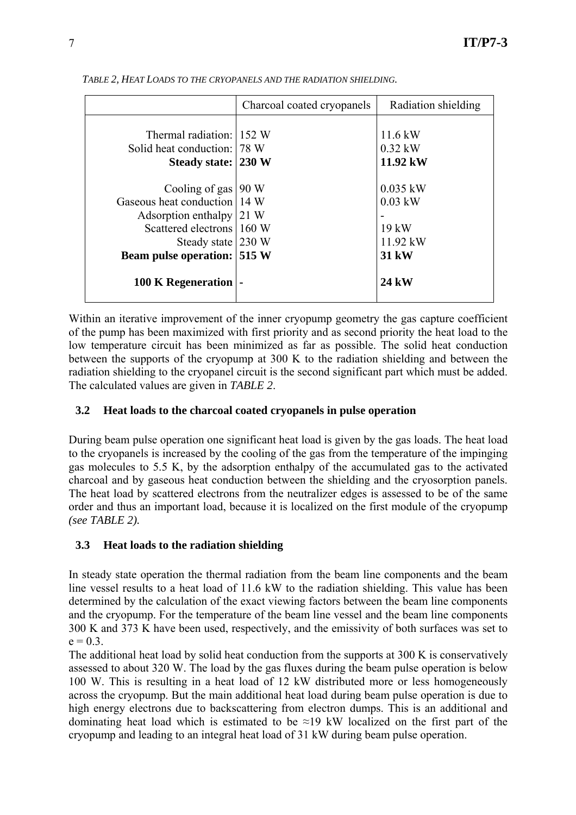|                                                                                                                                                                                       | Charcoal coated cryopanels | Radiation shielding                                       |
|---------------------------------------------------------------------------------------------------------------------------------------------------------------------------------------|----------------------------|-----------------------------------------------------------|
| Thermal radiation: 152 W<br>Solid heat conduction: 178 W                                                                                                                              |                            | $11.6$ kW<br>$0.32$ kW                                    |
| Steady state: 230 W                                                                                                                                                                   |                            | 11.92 kW                                                  |
| Cooling of gas   90 W<br>Gaseous heat conduction 14 W<br>Adsorption enthalpy $ 21 \text{ W}$<br>Scattered electrons 160 W<br>Steady state 230 W<br><b>Beam pulse operation: 515 W</b> |                            | $0.035$ kW<br>$0.03$ kW<br>$19$ kW<br>$11.92$ kW<br>31 kW |
| 100 K Regeneration   -                                                                                                                                                                |                            | 24 kW                                                     |

*TABLE 2, HEAT LOADS TO THE CRYOPANELS AND THE RADIATION SHIELDING.* 

Within an iterative improvement of the inner cryopump geometry the gas capture coefficient of the pump has been maximized with first priority and as second priority the heat load to the low temperature circuit has been minimized as far as possible. The solid heat conduction between the supports of the cryopump at 300 K to the radiation shielding and between the radiation shielding to the cryopanel circuit is the second significant part which must be added. The calculated values are given in *TABLE 2*.

### **3.2 Heat loads to the charcoal coated cryopanels in pulse operation**

During beam pulse operation one significant heat load is given by the gas loads. The heat load to the cryopanels is increased by the cooling of the gas from the temperature of the impinging gas molecules to 5.5 K, by the adsorption enthalpy of the accumulated gas to the activated charcoal and by gaseous heat conduction between the shielding and the cryosorption panels. The heat load by scattered electrons from the neutralizer edges is assessed to be of the same order and thus an important load, because it is localized on the first module of the cryopump *(see TABLE 2).*

## **3.3 Heat loads to the radiation shielding**

In steady state operation the thermal radiation from the beam line components and the beam line vessel results to a heat load of 11.6 kW to the radiation shielding. This value has been determined by the calculation of the exact viewing factors between the beam line components and the cryopump. For the temperature of the beam line vessel and the beam line components 300 K and 373 K have been used, respectively, and the emissivity of both surfaces was set to  $e = 0.3$ .

The additional heat load by solid heat conduction from the supports at 300 K is conservatively assessed to about 320 W. The load by the gas fluxes during the beam pulse operation is below 100 W. This is resulting in a heat load of 12 kW distributed more or less homogeneously across the cryopump. But the main additional heat load during beam pulse operation is due to high energy electrons due to backscattering from electron dumps. This is an additional and dominating heat load which is estimated to be  $\approx$ 19 kW localized on the first part of the cryopump and leading to an integral heat load of 31 kW during beam pulse operation.